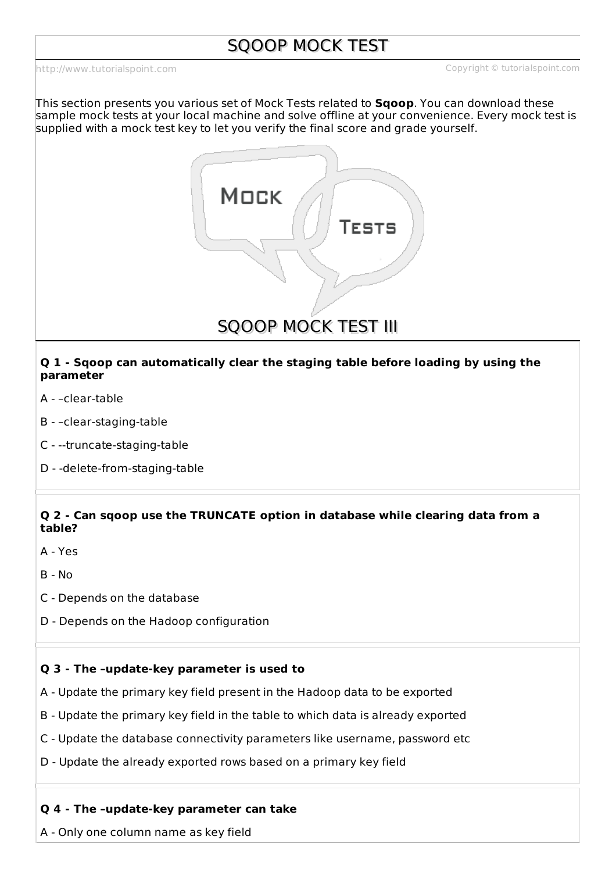# SQOOP MOCK TEST

<http://www.tutorialspoint.com> example of the control of the Copyright Construction Copyright Construction Construction

This section presents you various set of Mock Tests related to **Sqoop**. You can download these sample mock tests at your local machine and solve offline at your convenience. Every mock test is supplied with a mock test key to let you verify the final score and grade yourself.



### **Q 1 - Sqoop can automatically clear the staging table before loading by using the parameter**

- A –clear-table
- B –clear-staging-table
- C --truncate-staging-table
- D -delete-from-staging-table

# **Q 2 - Can sqoop use the TRUNCATE option in database while clearing data from a table?**

- A Yes
- $B No$
- C Depends on the database
- D Depends on the Hadoop configuration

#### **Q 3 - The –update-key parameter is used to**

- A Update the primary key field present in the Hadoop data to be exported
- B Update the primary key field in the table to which data is already exported
- C Update the database connectivity parameters like username, password etc
- D Update the already exported rows based on a primary key field

#### **Q 4 - The –update-key parameter can take**

A - Only one column name as key field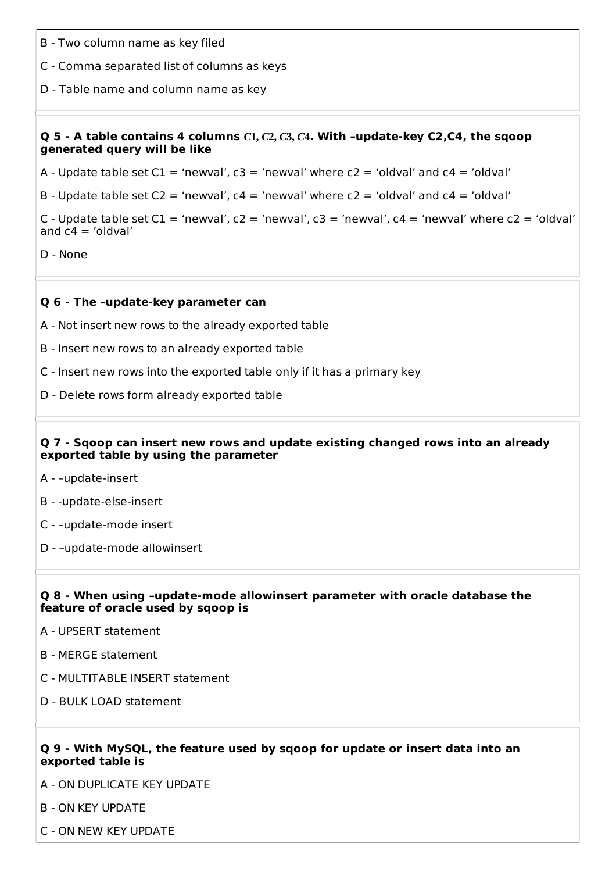- B Two column name as key filed
- C Comma separated list of columns as keys
- D Table name and column name as key

#### Q 5 - A table contains 4 columns  $C1$ ,  $C2$ ,  $C3$ ,  $C4$ . With -update-key C2,C4, the sqoop **generated query will be like**

A - Update table set  $Cl = 'newval', c3 = 'newval'$  where  $c2 = 'oldval'$  and  $c4 = 'oldval'$ 

B - Update table set  $C2 = 'newval', c4 = 'newval'$  where  $c2 = 'oldval'$  and  $c4 = 'oldval'$ 

C - Update table set  $Cl = 'newval', c2 = 'newval', c3 = 'newval', c4 = 'newval' where  $c2 = 'oldval'$$ and  $c4 = 'oldval'$ 

D - None

#### **Q 6 - The –update-key parameter can**

- A Not insert new rows to the already exported table
- B Insert new rows to an already exported table
- C Insert new rows into the exported table only if it has a primary key
- D Delete rows form already exported table

#### **Q 7 - Sqoop can insert new rows and update existing changed rows into an already exported table by using the parameter**

- A –update-insert
- B -update-else-insert
- C –update-mode insert
- D –update-mode allowinsert

#### **Q 8 - When using –update-mode allowinsert parameter with oracle database the feature of oracle used by sqoop is**

- A UPSERT statement
- B MERGE statement
- C MULTITABLE INSERT statement
- D BULK LOAD statement

#### **Q 9 - With MySQL, the feature used by sqoop for update or insert data into an exported table is**

A - ON DUPLICATE KEY UPDATE

- B ON KEY UPDATE
- C ON NEW KEY UPDATE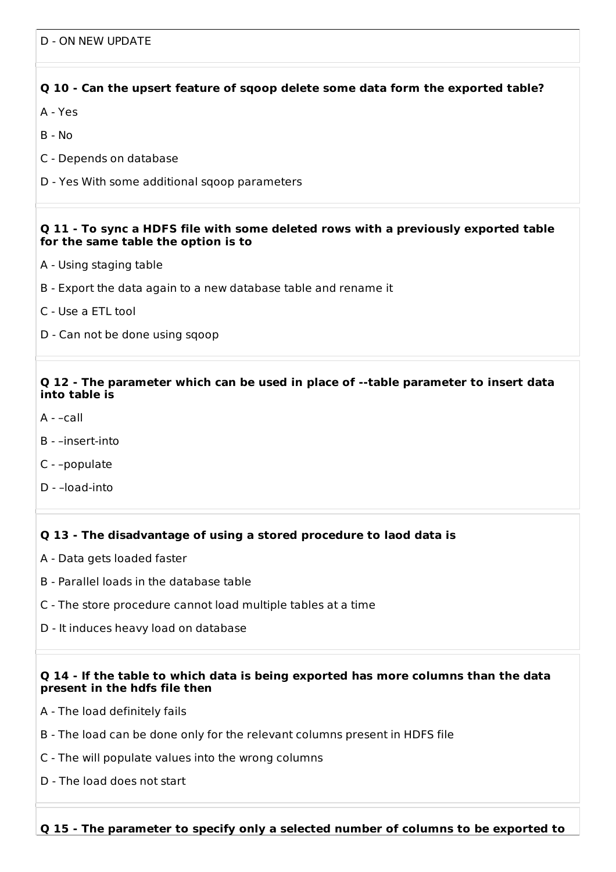# **Q 10 - Can the upsert feature of sqoop delete some data form the exported table?**

- A Yes
- B No
- C Depends on database
- D Yes With some additional sqoop parameters

#### **Q 11 - To sync a HDFS file with some deleted rows with a previously exported table for the same table the option is to**

- A Using staging table
- B Export the data again to a new database table and rename it
- C Use a ETL tool
- D Can not be done using sqoop

### **Q 12 - The parameter which can be used in place of --table parameter to insert data into table is**

- A –call
- B –insert-into
- C –populate
- D –load-into

# **Q 13 - The disadvantage of using a stored procedure to laod data is**

- A Data gets loaded faster
- B Parallel loads in the database table
- C The store procedure cannot load multiple tables at a time
- D It induces heavy load on database

#### **Q 14 - If the table to which data is being exported has more columns than the data present in the hdfs file then**

- A The load definitely fails
- B The load can be done only for the relevant columns present in HDFS file
- C The will populate values into the wrong columns
- D The load does not start

**Q 15 - The parameter to specify only a selected number of columns to be exported to**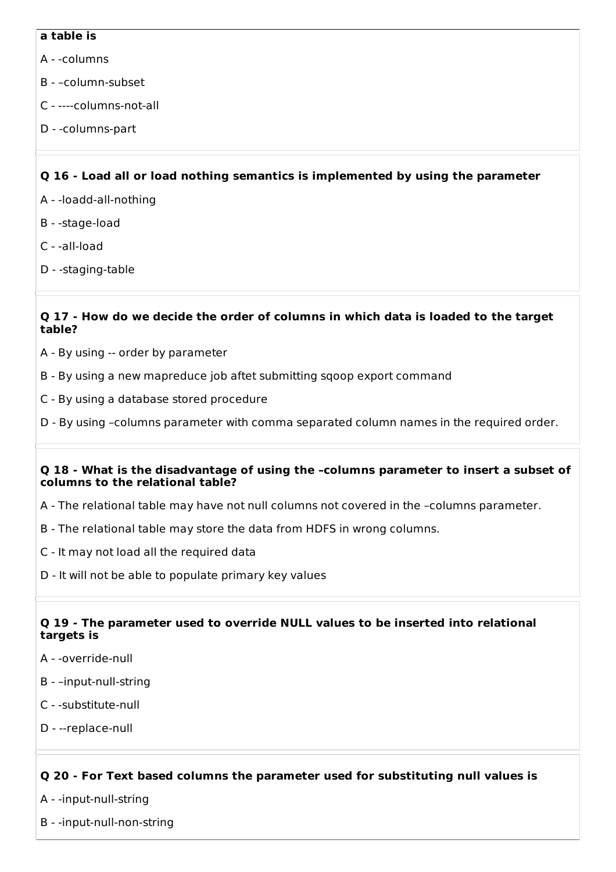## **a table is**

- A -columns
- B –column-subset
- C ----columns-not-all
- D -columns-part

# **Q 16 - Load all or load nothing semantics is implemented by using the parameter**

- A -loadd-all-nothing
- B -stage-load
- C -all-load
- D -staging-table

# **Q 17 - How do we decide the order of columns in which data is loaded to the target table?**

- A By using -- order by parameter
- B By using a new mapreduce job aftet submitting sqoop export command
- C By using a database stored procedure
- D By using –columns parameter with comma separated column names in the required order.

## **Q 18 - What is the disadvantage of using the –columns parameter to insert a subset of columns to the relational table?**

- A The relational table may have not null columns not covered in the –columns parameter.
- B The relational table may store the data from HDFS in wrong columns.
- C It may not load all the required data
- D It will not be able to populate primary key values

# **Q 19 - The parameter used to override NULL values to be inserted into relational targets is**

- A -override-null
- B –input-null-string
- C -substitute-null
- D --replace-null

# **Q 20 - For Text based columns the parameter used for substituting null values is**

- A -input-null-string
- B -input-null-non-string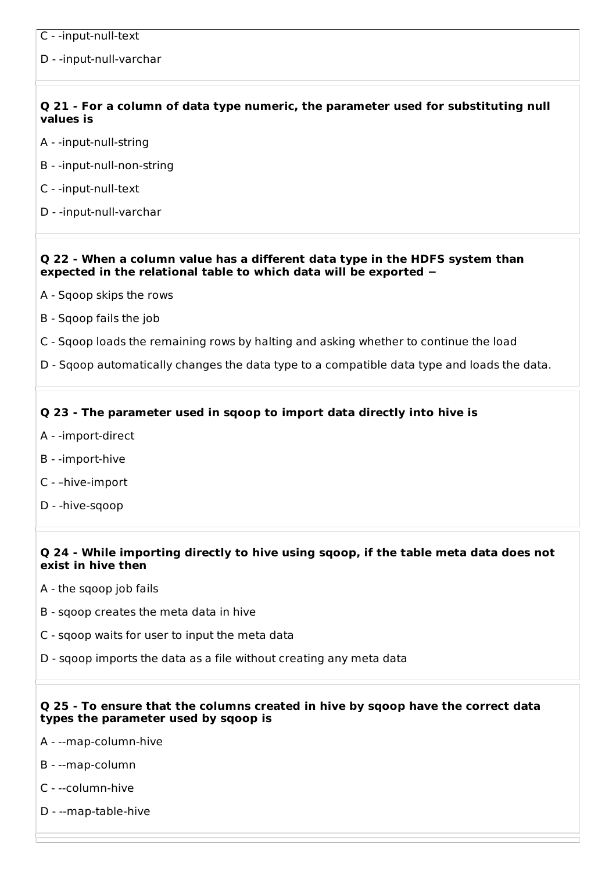D - -input-null-varchar

# **Q 21 - For a column of data type numeric, the parameter used for substituting null values is**

- A -input-null-string
- B -input-null-non-string
- C -input-null-text
- D -input-null-varchar

### **Q 22 - When a column value has a different data type in the HDFS system than expected in the relational table to which data will be exported −**

- A Sqoop skips the rows
- B Sqoop fails the job
- C Sqoop loads the remaining rows by halting and asking whether to continue the load
- D Sqoop automatically changes the data type to a compatible data type and loads the data.

# **Q 23 - The parameter used in sqoop to import data directly into hive is**

- A -import-direct
- B -import-hive
- C –hive-import
- D -hive-sqoop

## **Q 24 - While importing directly to hive using sqoop, if the table meta data does not exist in hive then**

- A the sqoop job fails
- B sqoop creates the meta data in hive
- C sqoop waits for user to input the meta data
- D sqoop imports the data as a file without creating any meta data

## **Q 25 - To ensure that the columns created in hive by sqoop have the correct data types the parameter used by sqoop is**

- A --map-column-hive
- B --map-column
- C --column-hive
- D --map-table-hive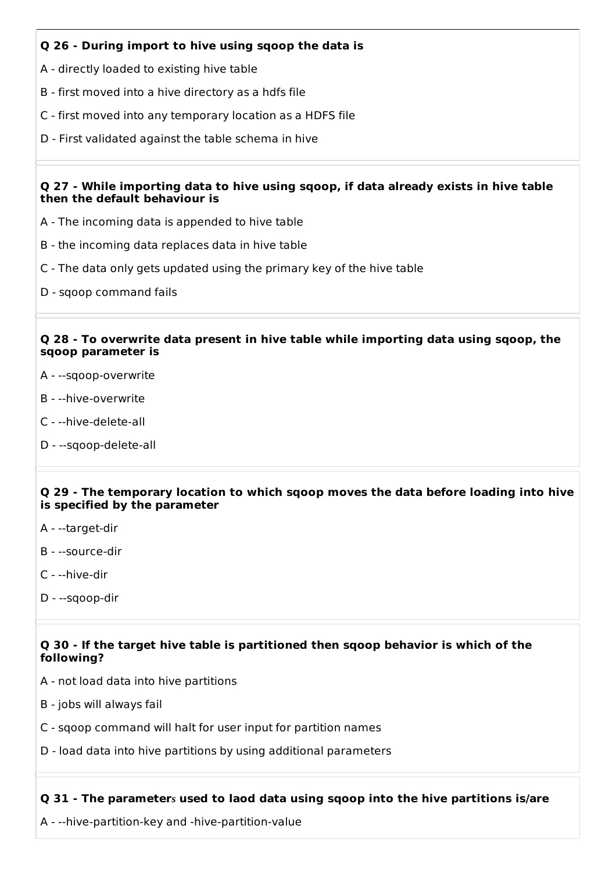# **Q 26 - During import to hive using sqoop the data is**

- A directly loaded to existing hive table
- B first moved into a hive directory as a hdfs file
- C first moved into any temporary location as a HDFS file
- D First validated against the table schema in hive

## **Q 27 - While importing data to hive using sqoop, if data already exists in hive table then the default behaviour is**

- A The incoming data is appended to hive table
- B the incoming data replaces data in hive table
- C The data only gets updated using the primary key of the hive table
- D sqoop command fails

#### **Q 28 - To overwrite data present in hive table while importing data using sqoop, the sqoop parameter is**

- A --sqoop-overwrite
- B --hive-overwrite
- C --hive-delete-all
- D --sqoop-delete-all

#### **Q 29 - The temporary location to which sqoop moves the data before loading into hive is specified by the parameter**

- A --target-dir
- B --source-dir
- C --hive-dir
- D --sqoop-dir

## **Q 30 - If the target hive table is partitioned then sqoop behavior is which of the following?**

- A not load data into hive partitions
- B jobs will always fail
- C sqoop command will halt for user input for partition names
- D load data into hive partitions by using additional parameters

# **Q 31 - The parameter***s* **used to laod data using sqoop into the hive partitions is/are**

A - --hive-partition-key and -hive-partition-value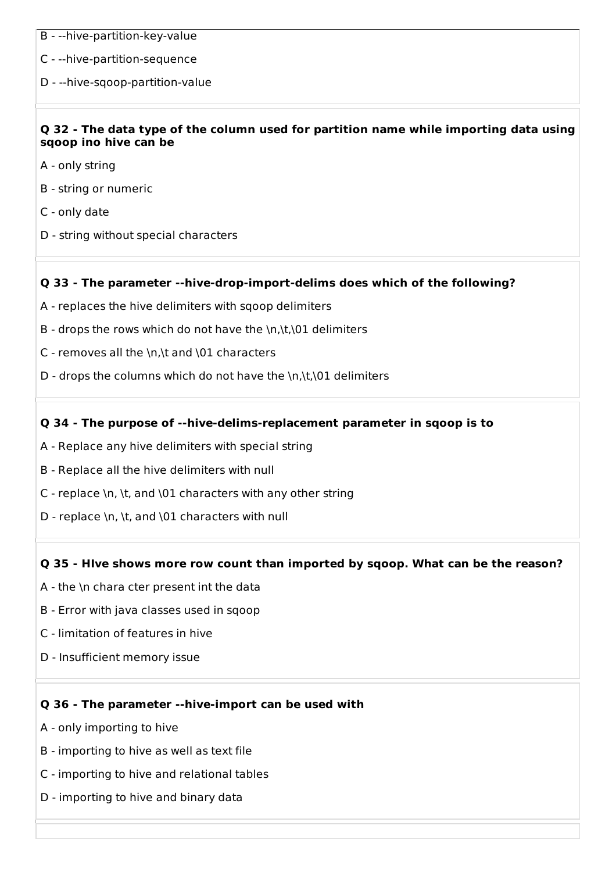- B --hive-partition-key-value
- C --hive-partition-sequence
- D --hive-sqoop-partition-value

## **Q 32 - The data type of the column used for partition name while importing data using sqoop ino hive can be**

- A only string
- B string or numeric
- C only date
- D string without special characters

# **Q 33 - The parameter --hive-drop-import-delims does which of the following?**

- A replaces the hive delimiters with sqoop delimiters
- B drops the rows which do not have the  $\n\cdot\lambda$ t, 01 delimiters
- C removes all the \n,\t and \01 characters
- D drops the columns which do not have the \n,\t,\01 delimiters

## **Q 34 - The purpose of --hive-delims-replacement parameter in sqoop is to**

- A Replace any hive delimiters with special string
- B Replace all the hive delimiters with null
- C replace \n, \t, and \01 characters with any other string
- D replace \n, \t, and \01 characters with null

#### **Q 35 - HIve shows more row count than imported by sqoop. What can be the reason?**

- A the \n chara cter present int the data
- B Error with java classes used in sqoop
- C limitation of features in hive
- D Insufficient memory issue

#### **Q 36 - The parameter --hive-import can be used with**

- A only importing to hive
- B importing to hive as well as text file
- C importing to hive and relational tables
- D importing to hive and binary data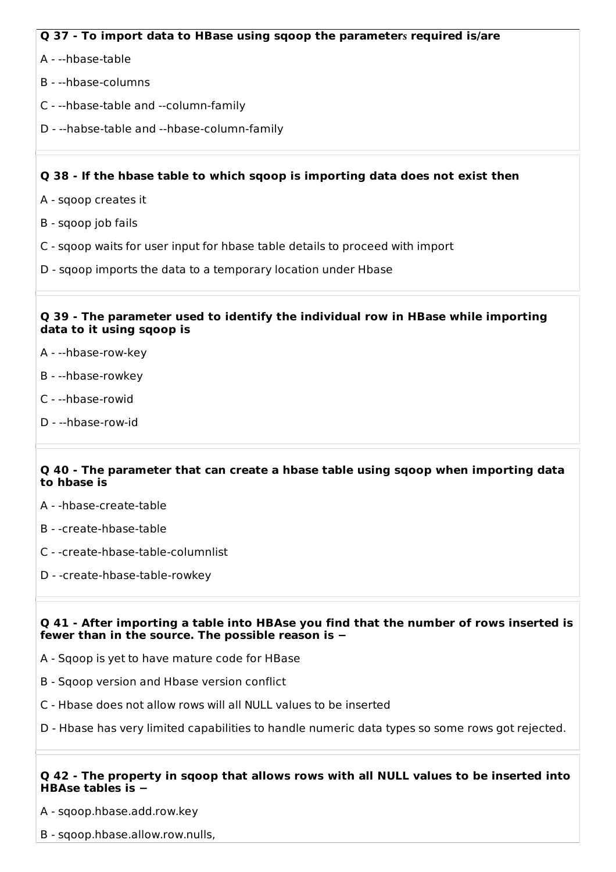# **Q 37 - To import data to HBase using sqoop the parameter***s* **required is/are**

- A --hbase-table
- B --hbase-columns
- C --hbase-table and --column-family
- D --habse-table and --hbase-column-family

# **Q 38 - If the hbase table to which sqoop is importing data does not exist then**

- A sqoop creates it
- B sqoop job fails
- C sqoop waits for user input for hbase table details to proceed with import
- D sqoop imports the data to a temporary location under Hbase

### **Q 39 - The parameter used to identify the individual row in HBase while importing data to it using sqoop is**

- A --hbase-row-key
- B --hbase-rowkey
- C --hbase-rowid
- D --hbase-row-id

## **Q 40 - The parameter that can create a hbase table using sqoop when importing data to hbase is**

- A -hbase-create-table
- B -create-hbase-table
- C -create-hbase-table-columnlist
- D -create-hbase-table-rowkey

## **Q 41 - After importing a table into HBAse you find that the number of rows inserted is fewer than in the source. The possible reason is −**

- A Sqoop is yet to have mature code for HBase
- B Sqoop version and Hbase version conflict
- C Hbase does not allow rows will all NULL values to be inserted
- D Hbase has very limited capabilities to handle numeric data types so some rows got rejected.

## **Q 42 - The property in sqoop that allows rows with all NULL values to be inserted into HBAse tables is −**

A - sqoop.hbase.add.row.key

B - sqoop.hbase.allow.row.nulls,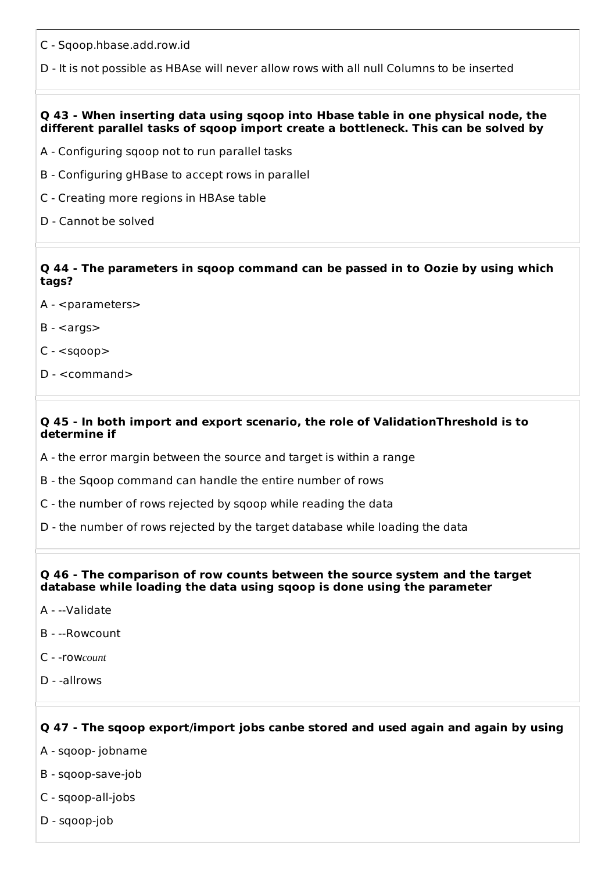- C Sqoop.hbase.add.row.id
- D It is not possible as HBAse will never allow rows with all null Columns to be inserted

#### **Q 43 - When inserting data using sqoop into Hbase table in one physical node, the different parallel tasks of sqoop import create a bottleneck. This can be solved by**

- A Configuring sqoop not to run parallel tasks
- B Configuring gHBase to accept rows in parallel
- C Creating more regions in HBAse table
- D Cannot be solved

## **Q 44 - The parameters in sqoop command can be passed in to Oozie by using which tags?**

- A <parameters>
- $B$
- $C <$ sqoop $>$
- D <command>

#### **Q 45 - In both import and export scenario, the role of ValidationThreshold is to determine if**

- A the error margin between the source and target is within a range
- B the Sqoop command can handle the entire number of rows
- C the number of rows rejected by sqoop while reading the data
- D the number of rows rejected by the target database while loading the data

#### **Q 46 - The comparison of row counts between the source system and the target database while loading the data using sqoop is done using the parameter**

- A --Validate
- B --Rowcount
- C -row*count*
- D -allrows

# **Q 47 - The sqoop export/import jobs canbe stored and used again and again by using**

- A sqoop- jobname
- B sqoop-save-job
- C sqoop-all-jobs
- D sqoop-job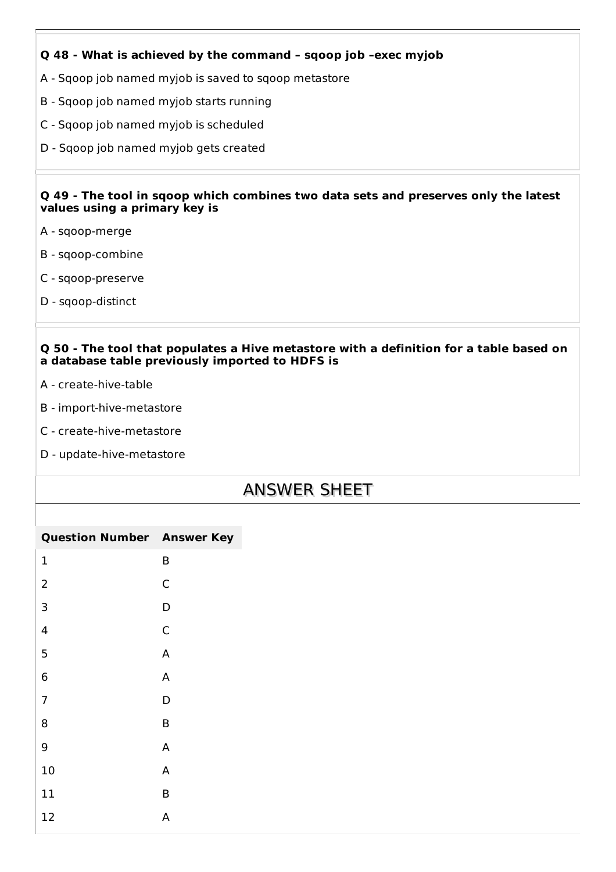# **Q 48 - What is achieved by the command – sqoop job –exec myjob**

- A Sqoop job named myjob is saved to sqoop metastore
- B Sqoop job named myjob starts running
- C Sqoop job named myjob is scheduled
- D Sqoop job named myjob gets created

#### **Q 49 - The tool in sqoop which combines two data sets and preserves only the latest values using a primary key is**

- A sqoop-merge
- B sqoop-combine
- C sqoop-preserve
- D sqoop-distinct

### **Q 50 - The tool that populates a Hive metastore with a definition for a table based on a database table previously imported to HDFS is**

- A create-hive-table
- B import-hive-metastore
- C create-hive-metastore
- D update-hive-metastore

# ANSWER SHEET

| <b>Question Number Answer Key</b> |   |
|-----------------------------------|---|
| $\mathbf 1$                       | B |
| $\overline{2}$                    | C |
| 3                                 | D |
| 4                                 | C |
| 5                                 | A |
| 6                                 | A |
| $\overline{7}$                    | D |
| 8                                 | B |
| 9                                 | A |
| 10                                | A |
| 11                                | B |
| 12                                | А |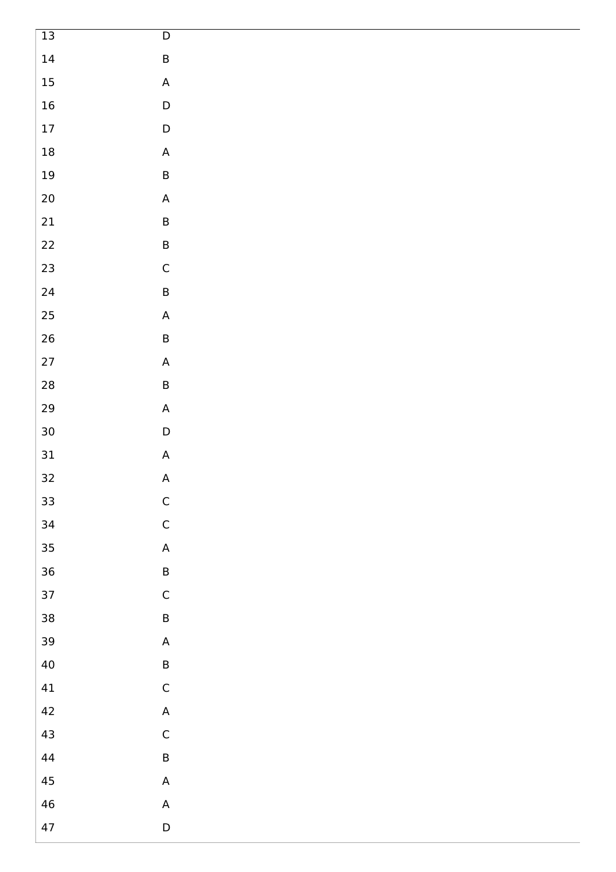| $13\,$     | $\mathsf D$                                                           |
|------------|-----------------------------------------------------------------------|
| $14\,$     | $\sf B$                                                               |
| $15\,$     | $\mathsf A$                                                           |
| $16\,$     | $\mathsf D$                                                           |
| $17\,$     | $\mathsf D$                                                           |
| $18\,$     | $\mathsf A$                                                           |
| $19\,$     | $\sf B$                                                               |
| $20\,$     | $\mathsf A$                                                           |
| $21\,$     | $\sf B$                                                               |
| $22\,$     | $\sf B$                                                               |
| 23         | $\mathsf C$                                                           |
| 24         | $\sf B$                                                               |
| $25\,$     | $\boldsymbol{\mathsf{A}}$                                             |
| 26         | $\sf B$                                                               |
| $27\,$     | $\mathsf{A}% _{\mathsf{A}}^{\prime}=\mathsf{A}_{\mathsf{A}}^{\prime}$ |
| ${\bf 28}$ | $\sf B$                                                               |
| 29         | $\mathsf A$                                                           |
| $30\,$     | $\mathsf D$                                                           |
| $31\,$     | $\mathsf{A}% _{\mathsf{A}}^{\prime}=\mathsf{A}_{\mathsf{A}}^{\prime}$ |
| 32         | $\mathsf A$                                                           |
| 33         | $\mathsf C$                                                           |
| 34         | $\mathsf C$                                                           |
| 35         | $\mathsf{A}% _{\mathcal{A}}^{\ast }=\mathsf{A}_{\mathcal{A}}^{\ast }$ |
| 36         | $\sf B$                                                               |
| 37         | $\mathsf C$                                                           |
| 38         | $\sf B$                                                               |
| 39         | $\mathsf{A}% _{\mathsf{A}}^{\prime}=\mathsf{A}_{\mathsf{A}}^{\prime}$ |
| 40         | $\sf B$                                                               |
| 41         | $\mathsf C$                                                           |
| 42         | $\mathsf{A}% _{\mathsf{A}}^{\prime}=\mathsf{A}_{\mathsf{A}}^{\prime}$ |
| 43         | $\mathsf C$                                                           |
| $\bf 44$   | $\sf B$                                                               |
| 45         | $\boldsymbol{\mathsf{A}}$                                             |
| 46         | $\mathsf{A}% _{\mathcal{A}}^{\ast}=\mathsf{A}_{\mathcal{A}}^{\ast}$   |
| 47         | $\mathsf D$                                                           |